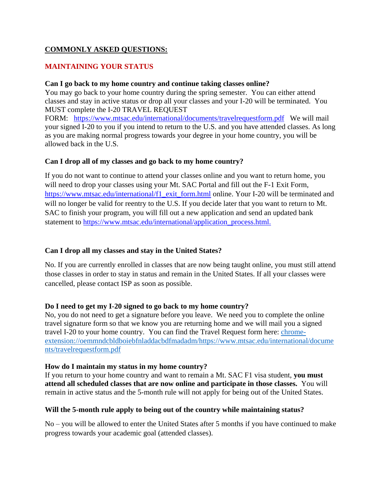## **COMMONLY ASKED QUESTIONS:**

## **MAINTAINING YOUR STATUS**

#### **Can I go back to my home country and continue taking classes online?**

You may go back to your home country during the spring semester. You can either attend classes and stay in active status or drop all your classes and your I-20 will be terminated. You MUST complete the I-20 TRAVEL REQUEST

FORM: <https://www.mtsac.edu/international/documents/travelrequestform.pdf>We will mail your signed I-20 to you if you intend to return to the U.S. and you have attended classes. As long as you are making normal progress towards your degree in your home country, you will be allowed back in the U.S.

## **Can I drop all of my classes and go back to my home country?**

 will no longer be valid for reentry to the U.S. If you decide later that you want to return to Mt. If you do not want to continue to attend your classes online and you want to return home, you will need to drop your classes using your Mt. SAC Portal and fill out the F-1 Exit Form, [https://www.mtsac.edu/international/f1\\_exit\\_form.html](https://www.mtsac.edu/international/f1_exit_form.html) online. Your I-20 will be terminated and SAC to finish your program, you will fill out a new application and send an updated bank statement to https://www.mtsac.edu/international/application\_process.html.

## **Can I drop all my classes and stay in the United States?**

No. If you are currently enrolled in classes that are now being taught online, you must still attend those classes in order to stay in status and remain in the United States. If all your classes were cancelled, please contact ISP as soon as possible.

#### **Do I need to get my I-20 signed to go back to my home country?**

No, you do not need to get a signature before you leave. We need you to complete the online travel signature form so that we know you are returning home and we will mail you a signed travel I-20 to your home country. You can find the Travel Request form here: [chrome](http://chrome-extension/oemmndcbldboiebfnladdacbdfmadadm/https:/www.mtsac.edu/international/documents/travelrequestform.pdf)[extension://oemmndcbldboiebfnladdacbdfmadadm/https://www.mtsac.edu/international/docume](http://chrome-extension/oemmndcbldboiebfnladdacbdfmadadm/https:/www.mtsac.edu/international/documents/travelrequestform.pdf)  [nts/travelrequestform.pdf](http://chrome-extension/oemmndcbldboiebfnladdacbdfmadadm/https:/www.mtsac.edu/international/documents/travelrequestform.pdf) 

#### **How do I maintain my status in my home country?**

 remain in active status and the 5-month rule will not apply for being out of the United States. If you return to your home country and want to remain a Mt. SAC F1 visa student, **you must attend all scheduled classes that are now online and participate in those classes.** You will

#### **Will the 5-month rule apply to being out of the country while maintaining status?**

No – you will be allowed to enter the United States after 5 months if you have continued to make progress towards your academic goal (attended classes).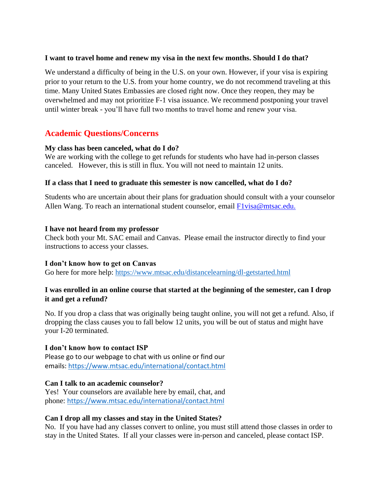### **I want to travel home and renew my visa in the next few months. Should I do that?**

We understand a difficulty of being in the U.S. on your own. However, if your visa is expiring prior to your return to the U.S. from your home country, we do not recommend traveling at this time. Many United States Embassies are closed right now. Once they reopen, they may be overwhelmed and may not prioritize F-1 visa issuance. We recommend postponing your travel until winter break - you'll have full two months to travel home and renew your visa.

# **Academic Questions/Concerns**

## **My class has been canceled, what do I do?**

 canceled. However, this is still in flux. You will not need to maintain 12 units. We are working with the college to get refunds for students who have had in-person classes

## **If a class that I need to graduate this semester is now cancelled, what do I do?**

Students who are uncertain about their plans for graduation should consult with a your counselor Allen Wang. To reach an international student counselor, email F1visa@mtsac.edu.

#### **I have not heard from my professor**

Check both your Mt. SAC email and Canvas. Please email the instructor directly to find your instructions to access your classes.

#### **I don't know how to get on Canvas**

Go here for more help:<https://www.mtsac.edu/distancelearning/dl-getstarted.html>

## **I was enrolled in an online course that started at the beginning of the semester, can I drop it and get a refund?**

No. If you drop a class that was originally being taught online, you will not get a refund. Also, if dropping the class causes you to fall below 12 units, you will be out of status and might have your I-20 terminated.

#### **I don't know how to contact ISP**

Please go to our webpage to chat with us online or find our emails:<https://www.mtsac.edu/international/contact.html>

## **Can I talk to an academic counselor?**

Yes! Your counselors are available here by email, chat, and phone: <https://www.mtsac.edu/international/contact.html>

## **Can I drop all my classes and stay in the United States?**

No. If you have had any classes convert to online, you must still attend those classes in order to stay in the United States. If all your classes were in-person and canceled, please contact ISP.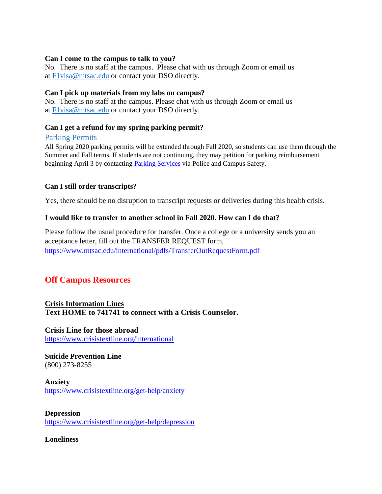### **Can I come to the campus to talk to you?**

at **Flyisa@mtsac.edu** or contact your DSO directly. No. There is no staff at the campus. Please chat with us through Zoom or email us

## **Can I pick up materials from my labs on campus?**

No. There is no staff at the campus. Please chat with us through Zoom or email us at [F1visa@mtsac.edu](mailto:F1visa@mtsac.edu) or contact your DSO directly.

## **Can I get a refund for my spring parking permit?**

#### Parking Permits

All Spring 2020 parking permits will be extended through Fall 2020, so students can use them through the Summer and Fall terms. If students are not continuing, they may petition for parking reimbursement beginning April 3 by contacting **Parking Services** via Police and Campus Safety.

## **Can I still order transcripts?**

Yes, there should be no disruption to transcript requests or deliveries during this health crisis.

## **I would like to transfer to another school in Fall 2020. How can I do that?**

Please follow the usual procedure for transfer. Once a college or a university sends you an acceptance letter, fill out the TRANSFER REQUEST form, <https://www.mtsac.edu/international/pdfs/TransferOutRequestForm.pdf>

# **Off Campus Resources**

## **Crisis Information Lines Text HOME to 741741 to connect with a Crisis Counselor.**

**Crisis Line for those abroad**  <https://www.crisistextline.org/international>

**Suicide Prevention Line**  (800) 273-8255

## **Anxiety**  <https://www.crisistextline.org/get-help/anxiety>

**Depression**  <https://www.crisistextline.org/get-help/depression>

**Loneliness**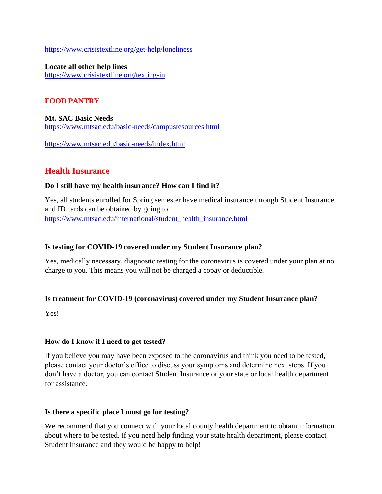<https://www.crisistextline.org/get-help/loneliness>

**Locate all other help lines**  <https://www.crisistextline.org/texting-in>

## **FOOD PANTRY**

**Mt. SAC Basic Needs**  <https://www.mtsac.edu/basic-needs/campusresources.html>

<https://www.mtsac.edu/basic-needs/index.html>

# **Health Insurance**

## **Do I still have my health insurance? How can I find it?**

Yes, all students enrolled for Spring semester have medical insurance through Student Insurance and ID cards can be obtained by going to [https://www.mtsac.edu/international/student\\_health\\_insurance.html](https://www.mtsac.edu/international/student_health_insurance.html) 

### **Is testing for COVID-19 covered under my Student Insurance plan?**

Yes, medically necessary, diagnostic testing for the coronavirus is covered under your plan at no charge to you. This means you will not be charged a copay or deductible.

## **Is treatment for COVID-19 (coronavirus) covered under my Student Insurance plan?**

Yes!

## **How do I know if I need to get tested?**

If you believe you may have been exposed to the coronavirus and think you need to be tested, please contact your doctor's office to discuss your symptoms and determine next steps. If you don't have a doctor, you can contact Student Insurance or your state or local health department for assistance.

#### **Is there a specific place I must go for testing?**

We recommend that you connect with your local county health department to obtain information about where to be tested. If you need help finding your state health department, please contact Student Insurance and they would be happy to help!